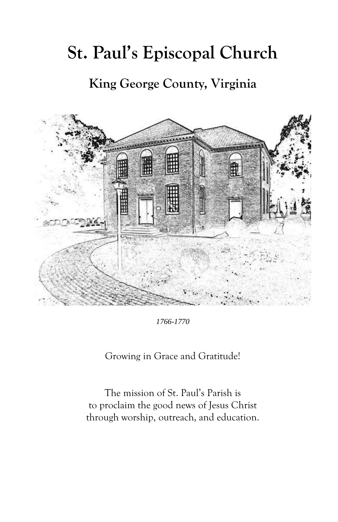# **St. Paul's Episcopal Church**

**King George County, Virginia**



*1766-1770*

Growing in Grace and Gratitude!

The mission of St. Paul's Parish is to proclaim the good news of Jesus Christ through worship, outreach, and education.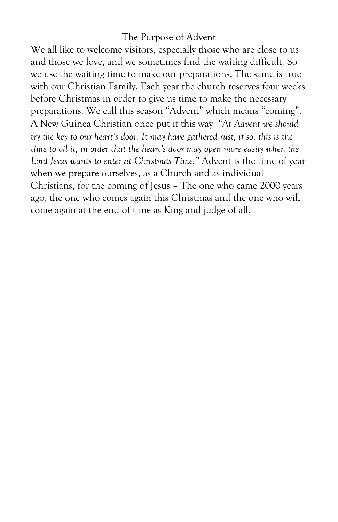#### The Purpose of Advent

We all like to welcome visitors, especially those who are close to us and those we love, and we sometimes find the waiting difficult. So we use the waiting time to make our preparations. The same is true with our Christian Family. Each year the church reserves four weeks before Christmas in order to give us time to make the necessary preparations. We call this season "Advent" which means "coming". A New Guinea Christian once put it this way: *"At Advent we should try the key to our heart's door. It may have gathered rust, if so, this is the time to oil it, in order that the heart's door may open more easily when the Lord Jesus wants to enter at Christmas Time."* Advent is the time of year when we prepare ourselves, as a Church and as individual Christians, for the coming of Jesus – The one who came 2000 years ago, the one who comes again this Christmas and the one who will come again at the end of time as King and judge of all.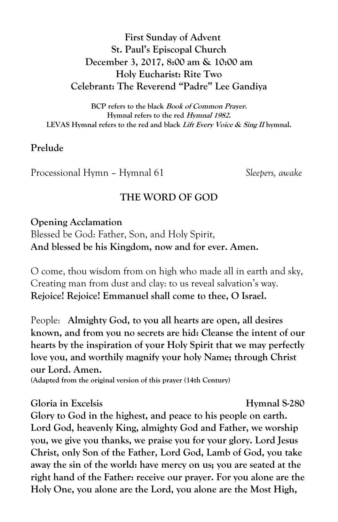# **First Sunday of Advent St. Paul's Episcopal Church December 3, 2017, 8:00 am & 10:00 am Holy Eucharist: Rite Two Celebrant: The Reverend "Padre" Lee Gandiya**

**BCP refers to the black Book of Common Prayer. Hymnal refers to the red Hymnal 1982. LEVAS Hymnal refers to the red and black Lift Every Voice & Sing II hymnal.**

#### **Prelude**

Processional Hymn – Hymnal 61 *Sleepers, awake*

#### **THE WORD OF GOD**

#### **Opening Acclamation**

Blessed be God: Father, Son, and Holy Spirit, **And blessed be his Kingdom, now and for ever. Amen.**

O come, thou wisdom from on high who made all in earth and sky, Creating man from dust and clay: to us reveal salvation's way. **Rejoice! Rejoice! Emmanuel shall come to thee, O Israel.**

People: **Almighty God, to you all hearts are open, all desires known, and from you no secrets are hid: Cleanse the intent of our hearts by the inspiration of your Holy Spirit that we may perfectly love you, and worthily magnify your holy Name; through Christ our Lord. Amen.** 

**(Adapted from the original version of this prayer (14th Century)**

#### **Gloria in Excelsis Hymnal S-280**

**Glory to God in the highest, and peace to his people on earth. Lord God, heavenly King, almighty God and Father, we worship you, we give you thanks, we praise you for your glory. Lord Jesus Christ, only Son of the Father, Lord God, Lamb of God, you take away the sin of the world: have mercy on us; you are seated at the right hand of the Father: receive our prayer. For you alone are the Holy One, you alone are the Lord, you alone are the Most High,**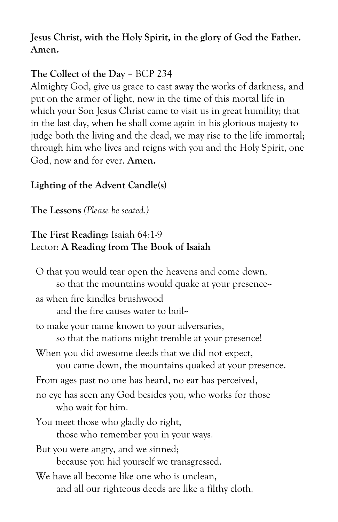# **Jesus Christ, with the Holy Spirit, in the glory of God the Father. Amen.**

# **The Collect of the Day** – BCP 234

Almighty God, give us grace to cast away the works of darkness, and put on the armor of light, now in the time of this mortal life in which your Son Jesus Christ came to visit us in great humility; that in the last day, when he shall come again in his glorious majesty to judge both the living and the dead, we may rise to the life immortal; through him who lives and reigns with you and the Holy Spirit, one God, now and for ever. **Amen.**

# **Lighting of the Advent Candle(s)**

**The Lessons** *(Please be seated.)*

## **The First Reading:** Isaiah 64:1-9 Lector: **A Reading from The Book of Isaiah**

O that you would tear open the heavens and come down, so that the mountains would quake at your presence-as when fire kindles brushwood and the fire causes water to boil-to make your name known to your adversaries, so that the nations might tremble at your presence! When you did awesome deeds that we did not expect, you came down, the mountains quaked at your presence. From ages past no one has heard, no ear has perceived, no eye has seen any God besides you, who works for those who wait for him. You meet those who gladly do right, those who remember you in your ways. But you were angry, and we sinned; because you hid yourself we transgressed. We have all become like one who is unclean, and all our righteous deeds are like a filthy cloth.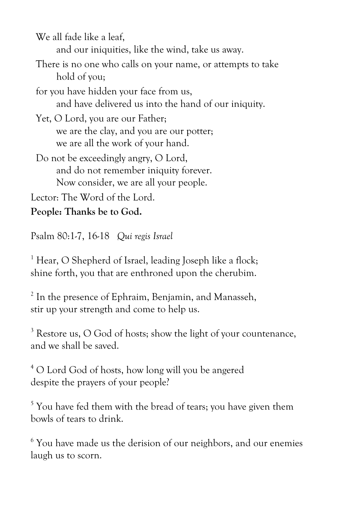We all fade like a leaf, and our iniquities, like the wind, take us away.

There is no one who calls on your name, or attempts to take hold of you;

for you have hidden your face from us, and have delivered us into the hand of our iniquity.

Yet, O Lord, you are our Father; we are the clay, and you are our potter; we are all the work of your hand.

Do not be exceedingly angry, O Lord, and do not remember iniquity forever. Now consider, we are all your people.

Lector: The Word of the Lord.

**People: Thanks be to God.**

Psalm 80:1-7, 16-18 *Qui regis Israel*

<sup>1</sup> Hear, O Shepherd of Israel, leading Joseph like a flock; shine forth, you that are enthroned upon the cherubim.

<sup>2</sup> In the presence of Ephraim, Benjamin, and Manasseh, stir up your strength and come to help us.

<sup>3</sup> Restore us, O God of hosts: show the light of your countenance, and we shall be saved.

<sup>4</sup> O Lord God of hosts, how long will you be angered despite the prayers of your people?

<sup>5</sup> You have fed them with the bread of tears; you have given them bowls of tears to drink.

<sup>6</sup> You have made us the derision of our neighbors, and our enemies laugh us to scorn.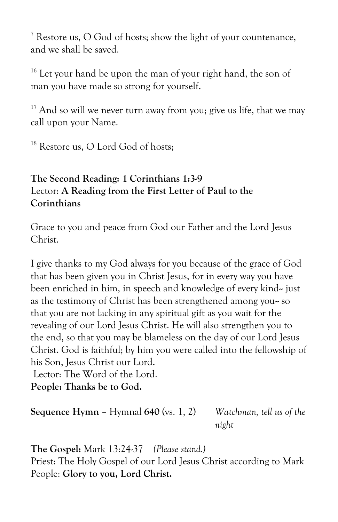<sup>7</sup> Restore us, O God of hosts; show the light of your countenance, and we shall be saved.

<sup>16</sup> Let your hand be upon the man of your right hand, the son of man you have made so strong for yourself.

 $17$  And so will we never turn away from you; give us life, that we may call upon your Name.

<sup>18</sup> Restore us, O Lord God of hosts:

# **The Second Reading: 1 Corinthians 1:3-9** Lector: **A Reading from the First Letter of Paul to the Corinthians**

Grace to you and peace from God our Father and the Lord Jesus Christ.

I give thanks to my God always for you because of the grace of God that has been given you in Christ Jesus, for in every way you have been enriched in him, in speech and knowledge of every kind-- just as the testimony of Christ has been strengthened among you-so that you are not lacking in any spiritual gift as you wait for the revealing of our Lord Jesus Christ. He will also strengthen you to the end, so that you may be blameless on the day of our Lord Jesus Christ. God is faithful; by him you were called into the fellowship of his Son, Jesus Christ our Lord.

Lector: The Word of the Lord.

**People: Thanks be to God.**

**Sequence Hymn** – Hymnal **640** (vs. 1, 2) *Watchman, tell us of the night*

**The Gospel:** Mark 13:24-37*(Please stand.)* Priest: The Holy Gospel of our Lord Jesus Christ according to Mark People: **Glory to you, Lord Christ.**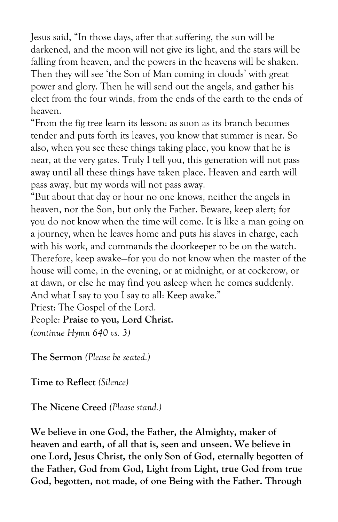Jesus said, "In those days, after that suffering, the sun will be darkened, and the moon will not give its light, and the stars will be falling from heaven, and the powers in the heavens will be shaken. Then they will see 'the Son of Man coming in clouds' with great power and glory. Then he will send out the angels, and gather his elect from the four winds, from the ends of the earth to the ends of heaven.

"From the fig tree learn its lesson: as soon as its branch becomes tender and puts forth its leaves, you know that summer is near. So also, when you see these things taking place, you know that he is near, at the very gates. Truly I tell you, this generation will not pass away until all these things have taken place. Heaven and earth will pass away, but my words will not pass away.

"But about that day or hour no one knows, neither the angels in heaven, nor the Son, but only the Father. Beware, keep alert; for you do not know when the time will come. It is like a man going on a journey, when he leaves home and puts his slaves in charge, each with his work, and commands the doorkeeper to be on the watch. Therefore, keep awake—for you do not know when the master of the house will come, in the evening, or at midnight, or at cockcrow, or at dawn, or else he may find you asleep when he comes suddenly. And what I say to you I say to all: Keep awake." Priest: The Gospel of the Lord.

# People: **Praise to you, Lord Christ.**

*(continue Hymn 640 vs. 3)*

**The Sermon** *(Please be seated.)*

**Time to Reflect** *(Silence)*

**The Nicene Creed** *(Please stand.)*

**We believe in one God, the Father, the Almighty, maker of heaven and earth, of all that is, seen and unseen. We believe in one Lord, Jesus Christ, the only Son of God, eternally begotten of the Father, God from God, Light from Light, true God from true God, begotten, not made, of one Being with the Father. Through**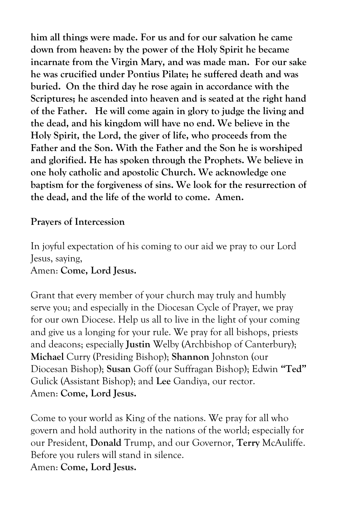**him all things were made. For us and for our salvation he came down from heaven: by the power of the Holy Spirit he became incarnate from the Virgin Mary, and was made man. For our sake he was crucified under Pontius Pilate; he suffered death and was buried. On the third day he rose again in accordance with the Scriptures; he ascended into heaven and is seated at the right hand of the Father. He will come again in glory to judge the living and the dead, and his kingdom will have no end. We believe in the Holy Spirit, the Lord, the giver of life, who proceeds from the Father and the Son. With the Father and the Son he is worshiped and glorified. He has spoken through the Prophets. We believe in one holy catholic and apostolic Church. We acknowledge one baptism for the forgiveness of sins. We look for the resurrection of the dead, and the life of the world to come. Amen.**

## **Prayers of Intercession**

In joyful expectation of his coming to our aid we pray to our Lord Jesus, saying, Amen: **Come, Lord Jesus.**

Grant that every member of your church may truly and humbly serve you; and especially in the Diocesan Cycle of Prayer, we pray for our own Diocese. Help us all to live in the light of your coming and give us a longing for your rule. We pray for all bishops, priests and deacons; especially **Justin** Welby (Archbishop of Canterbury); **Michael** Curry (Presiding Bishop); **Shannon** Johnston (our Diocesan Bishop); **Susan** Goff (our Suffragan Bishop); Edwin **"Ted"** Gulick (Assistant Bishop); and **Lee** Gandiya, our rector. Amen: **Come, Lord Jesus.**

Come to your world as King of the nations. We pray for all who govern and hold authority in the nations of the world; especially for our President, **Donald** Trump, and our Governor, **Terry** McAuliffe. Before you rulers will stand in silence. Amen: **Come, Lord Jesus.**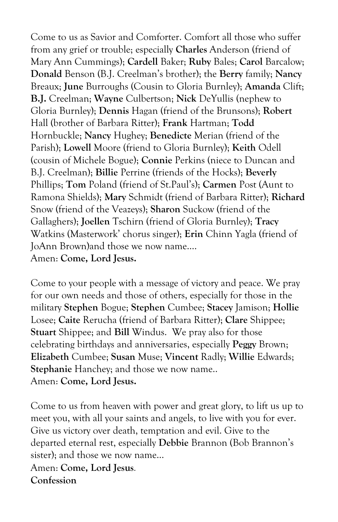Come to us as Savior and Comforter. Comfort all those who suffer from any grief or trouble; especially **Charles** Anderson (friend of Mary Ann Cummings); **Cardell** Baker; **Ruby** Bales; **Carol** Barcalow; **Donald** Benson (B.J. Creelman's brother); the **Berry** family; **Nancy** Breaux; **June** Burroughs (Cousin to Gloria Burnley); **Amanda** Clift; **B.J.** Creelman; **Wayne** Culbertson; **Nick** DeYullis (nephew to Gloria Burnley); **Dennis** Hagan (friend of the Brunsons); **Robert** Hall (brother of Barbara Ritter); **Frank** Hartman; **Todd**  Hornbuckle; **Nancy** Hughey; **Benedicte** Merian (friend of the Parish); **Lowell** Moore (friend to Gloria Burnley); **Keith** Odell (cousin of Michele Bogue); **Connie** Perkins (niece to Duncan and B.J. Creelman); **Billie** Perrine (friends of the Hocks); **Beverly** Phillips; **Tom** Poland (friend of St.Paul's); **Carmen** Post (Aunt to Ramona Shields); **Mary** Schmidt (friend of Barbara Ritter); **Richard** Snow (friend of the Veazeys); **Sharon** Suckow (friend of the Gallaghers); **Joellen** Tschirn (friend of Gloria Burnley); **Tracy**  Watkins (Masterwork' chorus singer); **Erin** Chinn Yagla (friend of JoAnn Brown)and those we now name…. Amen: **Come, Lord Jesus.**

Come to your people with a message of victory and peace. We pray for our own needs and those of others, especially for those in the military **Stephen** Bogue; **Stephen** Cumbee; **Stacey** Jamison; **Hollie** Losee; **Caite** Rerucha (friend of Barbara Ritter); **Clare** Shippee; **Stuart** Shippee; and **Bill** Windus. We pray also for those celebrating birthdays and anniversaries, especially **Peggy** Brown; **Elizabeth** Cumbee; **Susan** Muse; **Vincent** Radly; **Willie** Edwards; **Stephanie** Hanchey; and those we now name.. Amen: **Come, Lord Jesus.**

Come to us from heaven with power and great glory, to lift us up to meet you, with all your saints and angels, to live with you for ever. Give us victory over death, temptation and evil. Give to the departed eternal rest, especially **Debbie** Brannon (Bob Brannon's sister); and those we now name…

Amen: **Come, Lord Jesus***.* **Confession**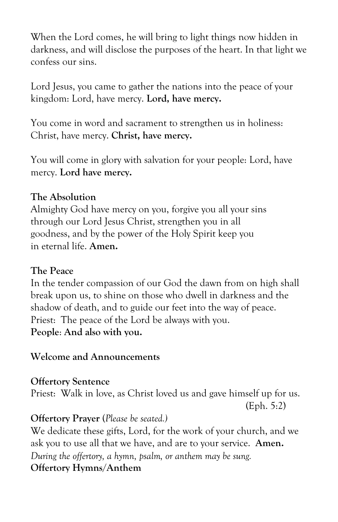When the Lord comes, he will bring to light things now hidden in darkness, and will disclose the purposes of the heart. In that light we confess our sins.

Lord Jesus, you came to gather the nations into the peace of your kingdom: Lord, have mercy. **Lord, have mercy.**

You come in word and sacrament to strengthen us in holiness: Christ, have mercy. **Christ, have mercy.**

You will come in glory with salvation for your people: Lord, have mercy. **Lord have mercy.**

#### **The Absolution**

Almighty God have mercy on you, forgive you all your sins through our Lord Jesus Christ, strengthen you in all goodness, and by the power of the Holy Spirit keep you in eternal life. **Amen.**

## **The Peace**

In the tender compassion of our God the dawn from on high shall break upon us, to shine on those who dwell in darkness and the shadow of death, and to guide our feet into the way of peace. Priest: The peace of the Lord be always with you. **People**: **And also with you.**

## **Welcome and Announcements**

**Offertory Sentence** Priest: Walk in love, as Christ loved us and gave himself up for us. (Eph. 5:2)

## **Offertory Prayer** (*Please be seated.)*

We dedicate these gifts, Lord, for the work of your church, and we ask you to use all that we have, and are to your service. **Amen.** *During the offertory, a hymn, psalm, or anthem may be sung.* **Offertory Hymns/Anthem**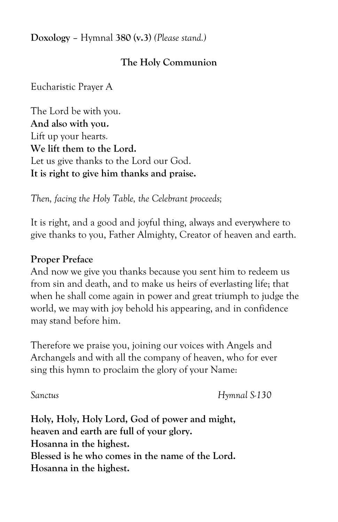**Doxology** – Hymnal **380** (**v.3**) *(Please stand.)*

## **The Holy Communion**

Eucharistic Prayer A

The Lord be with you. **And also with you.** Lift up your hearts*.*  **We lift them to the Lord.** Let us give thanks to the Lord our God. **It is right to give him thanks and praise.** 

*Then, facing the Holy Table, the Celebrant proceeds;*

It is right, and a good and joyful thing, always and everywhere to give thanks to you, Father Almighty, Creator of heaven and earth.

#### **Proper Preface**

And now we give you thanks because you sent him to redeem us from sin and death, and to make us heirs of everlasting life; that when he shall come again in power and great triumph to judge the world, we may with joy behold his appearing, and in confidence may stand before him.

Therefore we praise you, joining our voices with Angels and Archangels and with all the company of heaven, who for ever sing this hymn to proclaim the glory of your Name:

*Sanctus Hymnal S-130*

**Holy, Holy, Holy Lord, God of power and might, heaven and earth are full of your glory. Hosanna in the highest. Blessed is he who comes in the name of the Lord. Hosanna in the highest.**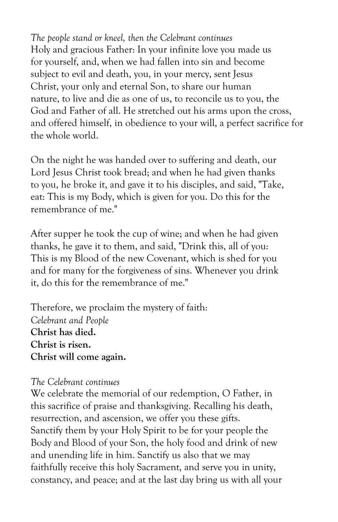*The people stand or kneel, then the Celebrant continues* Holy and gracious Father: In your infinite love you made us for yourself, and, when we had fallen into sin and become subject to evil and death, you, in your mercy, sent Jesus Christ, your only and eternal Son, to share our human nature, to live and die as one of us, to reconcile us to you, the God and Father of all. He stretched out his arms upon the cross, and offered himself, in obedience to your will, a perfect sacrifice for the whole world.

On the night he was handed over to suffering and death, our Lord Jesus Christ took bread; and when he had given thanks to you, he broke it, and gave it to his disciples, and said, "Take, eat: This is my Body, which is given for you. Do this for the remembrance of me."

After supper he took the cup of wine; and when he had given thanks, he gave it to them, and said, "Drink this, all of you: This is my Blood of the new Covenant, which is shed for you and for many for the forgiveness of sins. Whenever you drink it, do this for the remembrance of me."

Therefore, we proclaim the mystery of faith: *Celebrant and People* **Christ has died. Christ is risen. Christ will come again.**

#### *The Celebrant continues*

We celebrate the memorial of our redemption, O Father, in this sacrifice of praise and thanksgiving. Recalling his death, resurrection, and ascension, we offer you these gifts. Sanctify them by your Holy Spirit to be for your people the Body and Blood of your Son, the holy food and drink of new and unending life in him. Sanctify us also that we may faithfully receive this holy Sacrament, and serve you in unity, constancy, and peace; and at the last day bring us with all your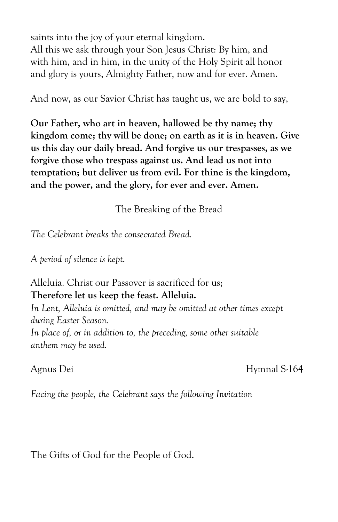saints into the joy of your eternal kingdom. All this we ask through your Son Jesus Christ: By him, and with him, and in him, in the unity of the Holy Spirit all honor and glory is yours, Almighty Father, now and for ever. Amen.

And now, as our Savior Christ has taught us, we are bold to say,

**Our Father, who art in heaven, hallowed be thy name; thy kingdom come; thy will be done; on earth as it is in heaven. Give us this day our daily bread. And forgive us our trespasses, as we forgive those who trespass against us. And lead us not into temptation; but deliver us from evil. For thine is the kingdom, and the power, and the glory, for ever and ever. Amen.**

The Breaking of the Bread

*The Celebrant breaks the consecrated Bread.*

*A period of silence is kept.*

Alleluia. Christ our Passover is sacrificed for us; **Therefore let us keep the feast. Alleluia.**

*In Lent, Alleluia is omitted, and may be omitted at other times except during Easter Season.*

*In place of, or in addition to, the preceding, some other suitable anthem may be used.*

Agnus Dei Hymnal S-164

*Facing the people, the Celebrant says the following Invitation*

The Gifts of God for the People of God.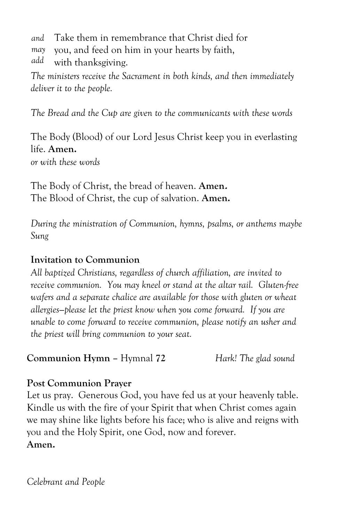- *and* Take them in remembrance that Christ died for
- *may* you, and feed on him in your hearts by faith,
- *add* with thanksgiving.

*The ministers receive the Sacrament in both kinds, and then immediately deliver it to the people.*

*The Bread and the Cup are given to the communicants with these words*

The Body (Blood) of our Lord Jesus Christ keep you in everlasting life. **Amen.** *or with these words*

The Body of Christ, the bread of heaven. **Amen.** The Blood of Christ, the cup of salvation. **Amen.**

*During the ministration of Communion, hymns, psalms, or anthems maybe Sung*

# **Invitation to Communion**

*All baptized Christians, regardless of church affiliation, are invited to receive communion. You may kneel or stand at the altar rail. Gluten-free wafers and a separate chalice are available for those with gluten or wheat allergies—please let the priest know when you come forward. If you are unable to come forward to receive communion, please notify an usher and the priest will bring communion to your seat.*

**Communion Hymn –** Hymnal **72** *Hark! The glad sound*

# **Post Communion Prayer**

Let us pray. Generous God, you have fed us at your heavenly table. Kindle us with the fire of your Spirit that when Christ comes again we may shine like lights before his face; who is alive and reigns with you and the Holy Spirit, one God, now and forever. **Amen.**

*Celebrant and People*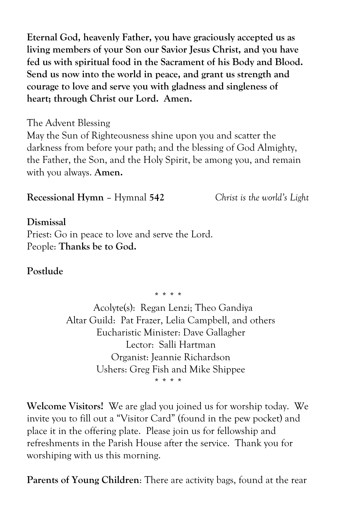**Eternal God, heavenly Father, you have graciously accepted us as living members of your Son our Savior Jesus Christ, and you have fed us with spiritual food in the Sacrament of his Body and Blood. Send us now into the world in peace, and grant us strength and courage to love and serve you with gladness and singleness of heart; through Christ our Lord. Amen.**

The Advent Blessing

May the Sun of Righteousness shine upon you and scatter the darkness from before your path; and the blessing of God Almighty, the Father, the Son, and the Holy Spirit, be among you, and remain with you always. **Amen.**

**Recessional Hymn** – Hymnal **542** *Christ is the world's Light*

#### **Dismissal**

Priest: Go in peace to love and serve the Lord. People: **Thanks be to God.**

# **Postlude**

*\* \* \* \**

 Acolyte(s): Regan Lenzi; Theo Gandiya Altar Guild: Pat Frazer, Lelia Campbell, and others Eucharistic Minister: Dave Gallagher Lector: Salli Hartman Organist: Jeannie Richardson Ushers: Greg Fish and Mike Shippee *\* \* \* \**

**Welcome Visitors!** We are glad you joined us for worship today. We invite you to fill out a "Visitor Card" (found in the pew pocket) and place it in the offering plate. Please join us for fellowship and refreshments in the Parish House after the service. Thank you for worshiping with us this morning.

**Parents of Young Children**: There are activity bags, found at the rear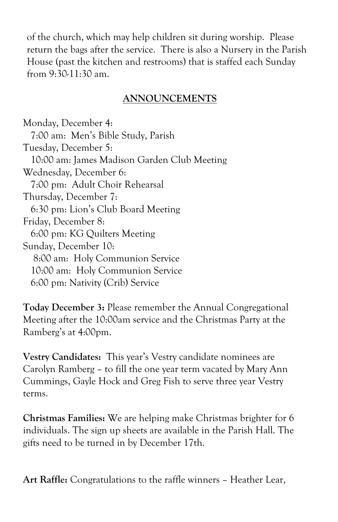of the church, which may help children sit during worship. Please return the bags after the service. There is also a Nursery in the Parish House (past the kitchen and restrooms) that is staffed each Sunday from 9:30-11:30 am.

# **ANNOUNCEMENTS**

Monday, December 4: 7:00 am: Men's Bible Study, Parish Tuesday, December 5: 10:00 am: James Madison Garden Club Meeting Wednesday, December 6: 7:00 pm: Adult Choir Rehearsal Thursday, December 7: 6:30 pm: Lion's Club Board Meeting Friday, December 8: 6:00 pm: KG Quilters Meeting Sunday, December 10: 8:00 am: Holy Communion Service 10:00 am: Holy Communion Service 6:00 pm: Nativity (Crib) Service

**Today December 3:** Please remember the Annual Congregational Meeting after the 10:00am service and the Christmas Party at the Ramberg's at 4:00pm.

**Vestry Candidates:** This year's Vestry candidate nominees are Carolyn Ramberg – to fill the one year term vacated by Mary Ann Cummings, Gayle Hock and Greg Fish to serve three year Vestry terms.

**Christmas Families:** We are helping make Christmas brighter for 6 individuals. The sign up sheets are available in the Parish Hall. The gifts need to be turned in by December 17th.

**Art Raffle:** Congratulations to the raffle winners – Heather Lear,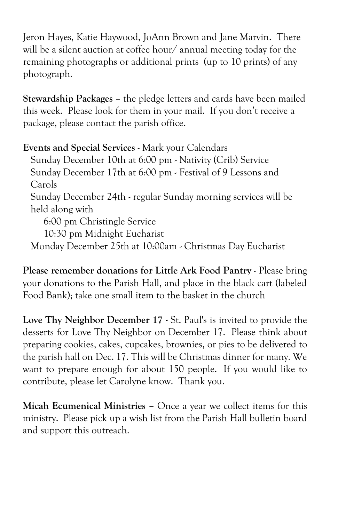Jeron Hayes, Katie Haywood, JoAnn Brown and Jane Marvin. There will be a silent auction at coffee hour/ annual meeting today for the remaining photographs or additional prints (up to 10 prints) of any photograph.

**Stewardship Packages –** the pledge letters and cards have been mailed this week. Please look for them in your mail. If you don't receive a package, please contact the parish office.

**Events and Special Services** - Mark your Calendars Sunday December 10th at 6:00 pm - Nativity (Crib) Service Sunday December 17th at 6:00 pm - Festival of 9 Lessons and Carols Sunday December 24th - regular Sunday morning services will be held along with 6:00 pm Christingle Service 10:30 pm Midnight Eucharist Monday December 25th at 10:00am - Christmas Day Eucharist

**Please remember donations for Little Ark Food Pantry** - Please bring your donations to the Parish Hall, and place in the black cart (labeled Food Bank); take one small item to the basket in the church

**Love Thy Neighbor December 17 -** St. Paul's is invited to provide the desserts for Love Thy Neighbor on December 17. Please think about preparing cookies, cakes, cupcakes, brownies, or pies to be delivered to the parish hall on Dec. 17. This will be Christmas dinner for many. We want to prepare enough for about 150 people. If you would like to contribute, please let Carolyne know. Thank you.

**Micah Ecumenical Ministries –** Once a year we collect items for this ministry. Please pick up a wish list from the Parish Hall bulletin board and support this outreach.